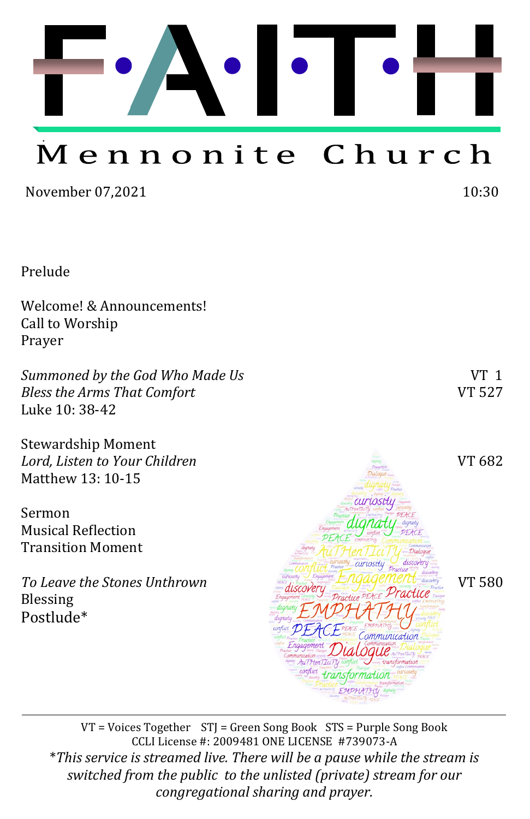

# Mennonite Church

November 07,2021 10:30

Prelude

Welcome! & Announcements! Call to Worship Prayer

*Summoned by the God Who Made Us*  $VT$  1 *Bless the Arms That Comfort* VT 527 Luke 10: 38-42

Stewardship Moment *Lord, Listen to Your Children* VT 682 Matthew 13: 10-15

Sermon Musical Reflection Transition Moment

*To Leave the Stones Unthrown Lougher Engagement was VT 580* Blessing Postlude\*



iriosit

nunication

VT = Voices Together STJ = Green Song Book STS = Purple Song Book CCLI License #: 2009481 ONE LICENSE #739073-A \**This service is streamed live. There will be a pause while the stream is switched from the public to the unlisted (private) stream for our congregational sharing and prayer.*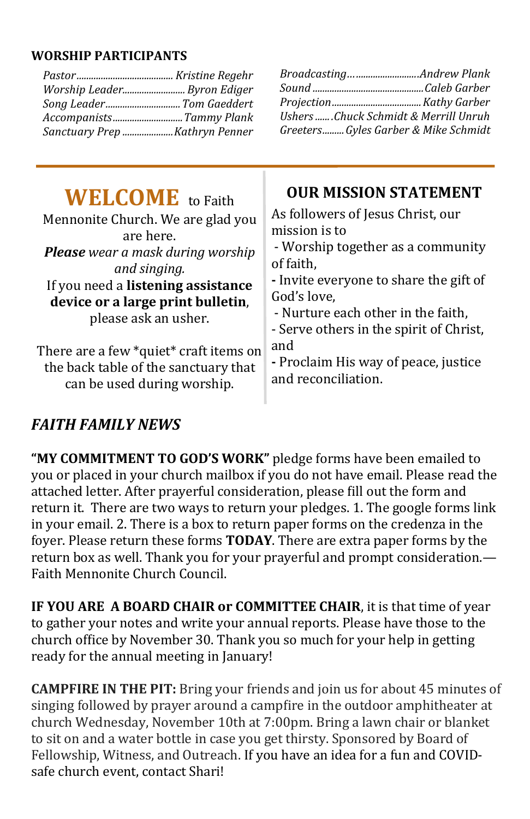#### **WORSHIP PARTICIPANTS**

|                                                                                                                                                                                                                                          | BroadcastingAndrew Plank                                                                                                                                                                                                                                                       |
|------------------------------------------------------------------------------------------------------------------------------------------------------------------------------------------------------------------------------------------|--------------------------------------------------------------------------------------------------------------------------------------------------------------------------------------------------------------------------------------------------------------------------------|
| Worship Leader Byron Ediger                                                                                                                                                                                                              |                                                                                                                                                                                                                                                                                |
| Song Leader Tom Gaeddert                                                                                                                                                                                                                 |                                                                                                                                                                                                                                                                                |
| AccompanistsTammy Plank                                                                                                                                                                                                                  | Ushers Chuck Schmidt & Merrill Unruh                                                                                                                                                                                                                                           |
| Sanctuary Prep Kathryn Penner                                                                                                                                                                                                            | GreetersGyles Garber & Mike Schmidt                                                                                                                                                                                                                                            |
| <b>WELCOME</b> to Faith<br>Mennonite Church. We are glad you<br>are here.<br><b>Please</b> wear a mask during worship<br>and singing.<br>If you need a listening assistance<br>device or a large print bulletin,<br>please ask an usher. | <b>OUR MISSION STATEMENT</b><br>As followers of Jesus Christ, our<br>mission is to<br>- Worship together as a community<br>of faith,<br>- Invite everyone to share the gift of<br>God's love,<br>- Nurture each other in the faith,<br>- Serve others in the spirit of Christ, |
| There are a few *quiet* craft items on                                                                                                                                                                                                   | and                                                                                                                                                                                                                                                                            |
| the back table of the sanctuary that                                                                                                                                                                                                     | - Proclaim His way of peace, justice                                                                                                                                                                                                                                           |
| ويناويه ويتمرض والمستواط والمتحدث والمناورة                                                                                                                                                                                              | and reconciliation.                                                                                                                                                                                                                                                            |

can be used during worship.

## *FAITH FAMILY NEWS*

**"MY COMMITMENT TO GOD'S WORK"** pledge forms have been emailed to you or placed in your church mailbox if you do not have email. Please read the attached letter. After prayerful consideration, please fill out the form and return it. There are two ways to return your pledges. 1. The google forms link in your email. 2. There is a box to return paper forms on the credenza in the foyer. Please return these forms **TODAY**. There are extra paper forms by the return box as well. Thank you for your prayerful and prompt consideration.— Faith Mennonite Church Council.

**IF YOU ARE A BOARD CHAIR or COMMITTEE CHAIR**, it is that time of year to gather your notes and write your annual reports. Please have those to the church office by November 30. Thank you so much for your help in getting ready for the annual meeting in January!

**CAMPFIRE IN THE PIT:** Bring your friends and join us for about 45 minutes of singing followed by prayer around a campfire in the outdoor amphitheater at church Wednesday, November 10th at 7:00pm. Bring a lawn chair or blanket to sit on and a water bottle in case you get thirsty. Sponsored by Board of Fellowship, Witness, and Outreach. If you have an idea for a fun and COVIDsafe church event, contact Shari!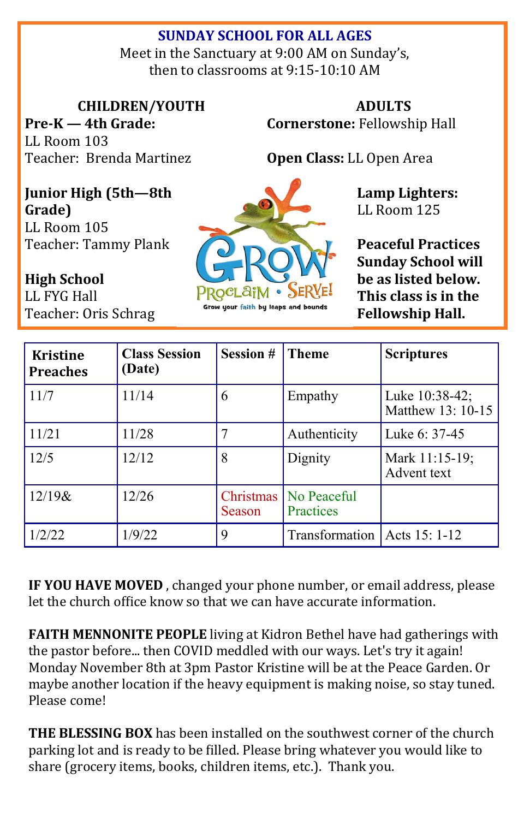### **SUNDAY SCHOOL FOR ALL AGES**

Meet in the Sanctuary at 9:00 AM on Sunday's, then to classrooms at 9:15-10:10 AM

**CHILDREN/YOUTH**

**Pre-K — 4th Grade:**  LL Room 103 Teacher: Brenda Martinez

**ADULTS Cornerstone:** Fellowship Hall

**Open Class:** LL Open Area

**Junior High (5th—8th Grade)** LL Room 105

Teacher: Tammy Plank

**High School**  LL FYG Hall Teacher: Oris Schrag



**Peaceful Practices Sunday School will be as listed below. This class is in the Fellowship Hall.**

**Lamp Lighters:**  LL Room 125

| <b>Kristine</b><br><b>Preaches</b> | <b>Class Session</b><br>(Date) | <b>Session #</b>    | <b>Theme</b>             | <b>Scriptures</b>                   |
|------------------------------------|--------------------------------|---------------------|--------------------------|-------------------------------------|
| 11/7                               | 11/14                          | 6                   | Empathy                  | Luke 10:38-42;<br>Matthew 13: 10-15 |
| 11/21                              | 11/28                          |                     | Authenticity             | Luke 6: 37-45                       |
| 12/5                               | 12/12                          | 8                   | Dignity                  | Mark 11:15-19;<br>Advent text       |
| $12/19$ &                          | 12/26                          | Christmas<br>Season | No Peaceful<br>Practices |                                     |
| 1/2/22                             | 1/9/22                         | 9                   | Transformation           | Acts 15: 1-12                       |

**IF YOU HAVE MOVED** , changed your phone number, or email address, please let the church office know so that we can have accurate information.

**FAITH MENNONITE PEOPLE** living at Kidron Bethel have had gatherings with the pastor before... then COVID meddled with our ways. Let's try it again! Monday November 8th at 3pm Pastor Kristine will be at the Peace Garden. Or maybe another location if the heavy equipment is making noise, so stay tuned. Please come!

**THE BLESSING BOX** has been installed on the southwest corner of the church parking lot and is ready to be filled. Please bring whatever you would like to share (grocery items, books, children items, etc.). Thank you.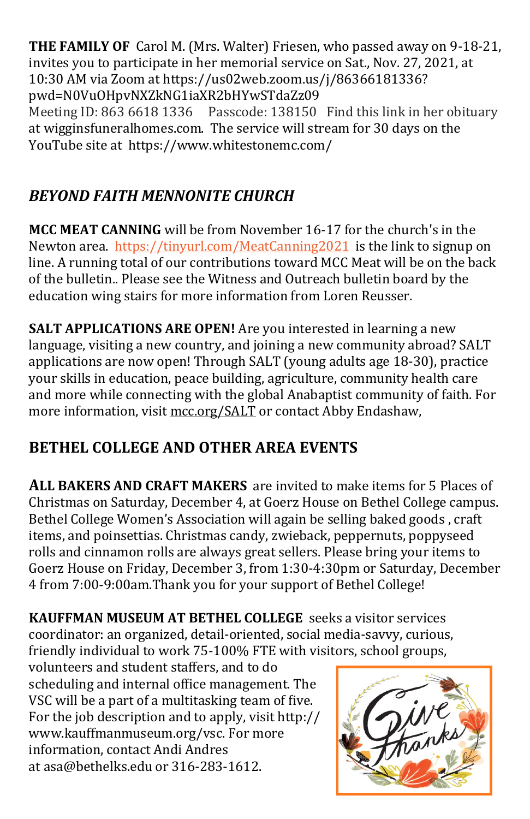**THE FAMILY OF** Carol M. (Mrs. Walter) Friesen, who passed away on 9-18-21, invites you to participate in her memorial service on Sat., Nov. 27, 2021, at 10:30 AM via Zoom at [https://us02web.zoom.us/j/86366181336?](https://us02web.zoom.us/j/86366181336?pwd=N0VuOHpvNXZkNG1iaXR2bHYwSTdaZz09) [pwd=N0VuOHpvNXZkNG1iaXR2bHYwSTdaZz09](https://us02web.zoom.us/j/86366181336?pwd=N0VuOHpvNXZkNG1iaXR2bHYwSTdaZz09) Meeting ID: 863 6618 1336 Passcode: 138150 Find this link in her obituary at [wigginsfuneralhomes.com.](http://wigginsfuneralhomes.com/) The service will stream for 30 days on the YouTube site at <https://www.whitestonemc.com/>

## *BEYOND FAITH MENNONITE CHURCH*

**MCC MEAT CANNING** will be from November 16-17 for the church's in the Newton area. <https://tinyurl.com/MeatCanning2021>is the link to signup on line. A running total of our contributions toward MCC Meat will be on the back of the bulletin.. Please see the Witness and Outreach bulletin board by the education wing stairs for more information from Loren Reusser.

**SALT APPLICATIONS ARE OPEN!** Are you interested in learning a new language, visiting a new country, and joining a new community abroad? SALT applications are now open! Through SALT (young adults age 18-30), practice your skills in education, peace building, agriculture, community health care and more while connecting with the global Anabaptist community of faith. For more information, visit [mcc.org/SALT](https://mcc.org/get-involved/serve/volunteer/salt) or contact Abby Endashaw,

# **BETHEL COLLEGE AND OTHER AREA EVENTS**

**ALL BAKERS AND CRAFT MAKERS** are invited to make items for 5 Places of Christmas on Saturday, December 4, at Goerz House on Bethel College campus. Bethel College Women's Association will again be selling baked goods , craft items, and poinsettias. Christmas candy, zwieback, peppernuts, poppyseed rolls and cinnamon rolls are always great sellers. Please bring your items to Goerz House on Friday, December 3, from 1:30-4:30pm or Saturday, December 4 from 7:00-9:00am.Thank you for your support of Bethel College!

**KAUFFMAN MUSEUM AT BETHEL COLLEGE** seeks a visitor services coordinator: an organized, detail-oriented, social media-savvy, curious, friendly individual to work 75-100% FTE with visitors, school groups,

volunteers and student staffers, and to do scheduling and internal office management. The VSC will be a part of a multitasking team of five. For the job description and to apply, visit [http://](http://www.kauffmanmuseum.org/vsc) [www.kauffmanmuseum.org/vsc.](http://www.kauffmanmuseum.org/vsc) For more information, contact Andi Andres at [asa@bethelks.edu](mailto:asa@bethelks.edu) or 316-283-1612.

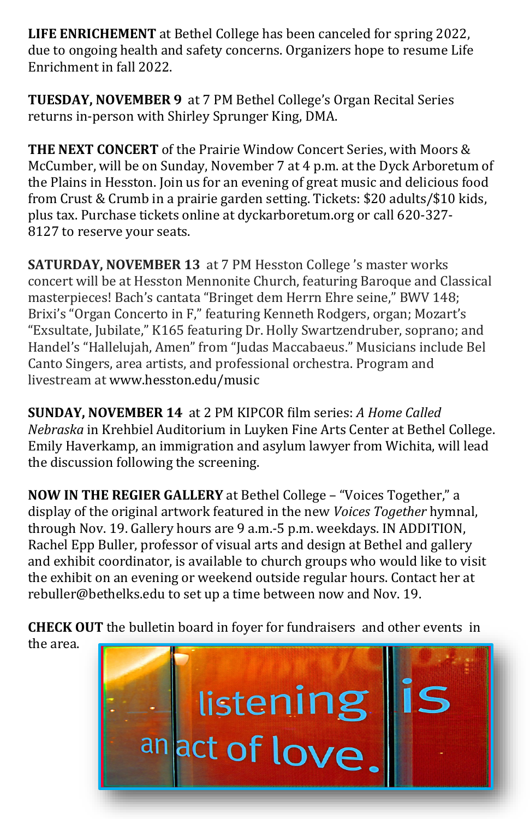**LIFE ENRICHEMENT** at Bethel College has been canceled for spring 2022, due to ongoing health and safety concerns. Organizers hope to resume Life Enrichment in fall 2022.

**TUESDAY, NOVEMBER 9** at 7 PM Bethel College's Organ Recital Series returns in-person with Shirley Sprunger King, DMA.

**THE NEXT CONCERT** of the Prairie Window Concert Series, with [Moors &](https://dyckarboretum.org/arboretum-event/moors-mccumber-2/)  [McCumber,](https://dyckarboretum.org/arboretum-event/moors-mccumber-2/) will be on Sunday, November 7 at 4 p.m. at the Dyck Arboretum of the Plains in Hesston. Join us for an evening of great music and delicious food from Crust & Crumb in a prairie garden setting. Tickets: \$20 adults/\$10 kids, plus tax. [Purchase tickets online](http://dyckarboretum.square.site/upcoming-events) at [dyckarboretum.org](http://dyckarboretum.org/) or call 620-327- [8127](tel:620-327-8127) to reserve your seats.

**SATURDAY, NOVEMBER 13** at 7 PM Hesston College 's master works concert will be at Hesston Mennonite Church, featuring Baroque and Classical masterpieces! Bach's cantata "Bringet dem Herrn Ehre seine," BWV 148; Brixi's "Organ Concerto in F," featuring Kenneth Rodgers, organ; Mozart's "Exsultate, Jubilate," K165 featuring Dr. Holly Swartzendruber, soprano; and Handel's "Hallelujah, Amen" from "Judas Maccabaeus." Musicians include Bel Canto Singers, area artists, and professional orchestra. Program and livestream at [www.hesston.edu/music](http://click.gotoextinguisher.com/click/ap3h-2gq2aq-mjnrxy-7811x5s1/) 

**SUNDAY, NOVEMBER 14** at 2 PM KIPCOR film series: *A Home Called Nebraska* in Krehbiel Auditorium in Luyken Fine Arts Center at Bethel College. Emily Haverkamp, an immigration and asylum lawyer from Wichita, will lead the discussion following the screening.

**NOW IN THE REGIER GALLERY** at Bethel College – "Voices Together," a display of the original artwork featured in the new *Voices Together* hymnal, through Nov. 19. Gallery hours are 9 a.m.-5 p.m. weekdays. IN ADDITION, Rachel Epp Buller, professor of visual arts and design at Bethel and gallery and exhibit coordinator, is available to church groups who would like to visit the exhibit on an evening or weekend outside regular hours. Contact her at [rebuller@bethelks.edu](mailto:rebuller@bethelks.edu) to set up a time between now and Nov. 19.

**CHECK OUT** the bulletin board in foyer for fundraisers and other events in

the area.